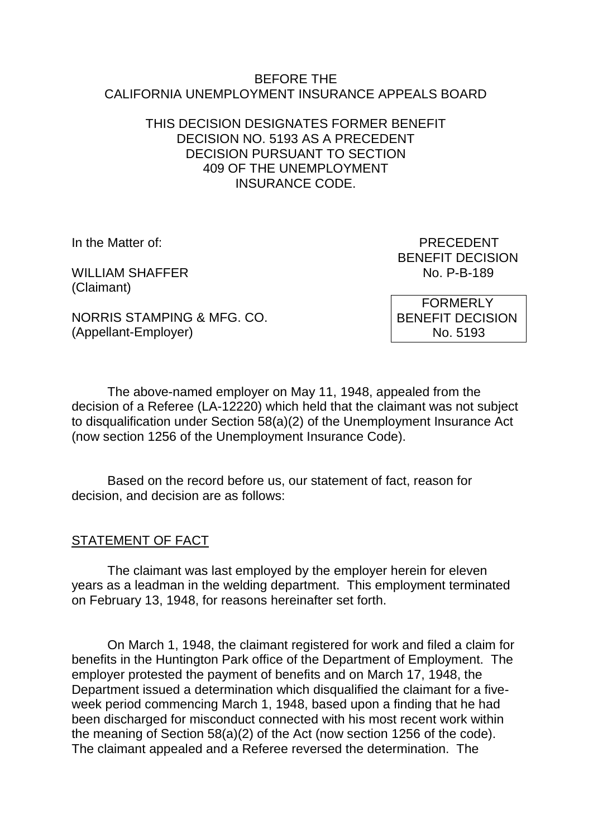#### BEFORE THE CALIFORNIA UNEMPLOYMENT INSURANCE APPEALS BOARD

### THIS DECISION DESIGNATES FORMER BENEFIT DECISION NO. 5193 AS A PRECEDENT DECISION PURSUANT TO SECTION 409 OF THE UNEMPLOYMENT INSURANCE CODE.

WILLIAM SHAFFER (Claimant)

In the Matter of: PRECEDENT BENEFIT DECISION<br>No. P-B-189

NORRIS STAMPING & MFG. CO. (Appellant-Employer)

 FORMERLY BENEFIT DECISION No. 5193

The above-named employer on May 11, 1948, appealed from the decision of a Referee (LA-12220) which held that the claimant was not subject to disqualification under Section 58(a)(2) of the Unemployment Insurance Act (now section 1256 of the Unemployment Insurance Code).

Based on the record before us, our statement of fact, reason for decision, and decision are as follows:

# STATEMENT OF FACT

The claimant was last employed by the employer herein for eleven years as a leadman in the welding department. This employment terminated on February 13, 1948, for reasons hereinafter set forth.

On March 1, 1948, the claimant registered for work and filed a claim for benefits in the Huntington Park office of the Department of Employment. The employer protested the payment of benefits and on March 17, 1948, the Department issued a determination which disqualified the claimant for a fiveweek period commencing March 1, 1948, based upon a finding that he had been discharged for misconduct connected with his most recent work within the meaning of Section 58(a)(2) of the Act (now section 1256 of the code). The claimant appealed and a Referee reversed the determination. The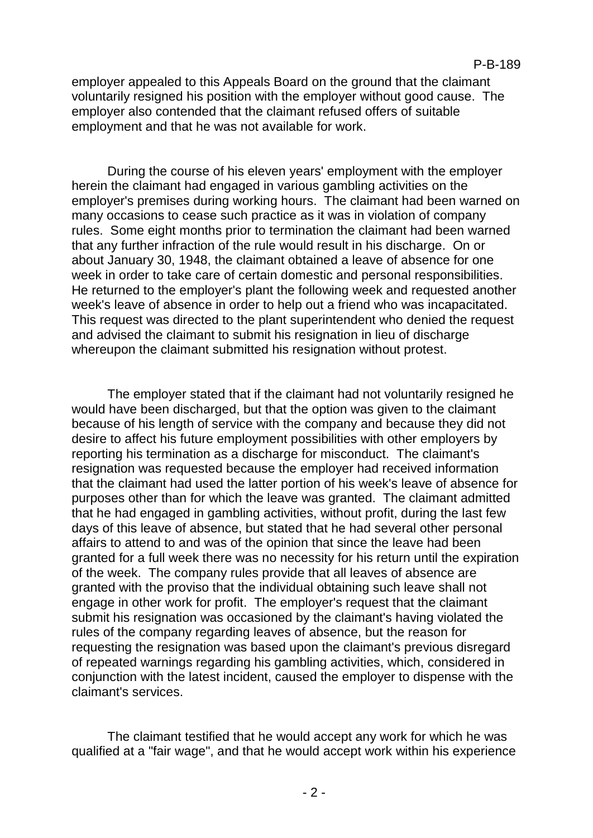employer appealed to this Appeals Board on the ground that the claimant voluntarily resigned his position with the employer without good cause. The employer also contended that the claimant refused offers of suitable employment and that he was not available for work.

During the course of his eleven years' employment with the employer herein the claimant had engaged in various gambling activities on the employer's premises during working hours. The claimant had been warned on many occasions to cease such practice as it was in violation of company rules. Some eight months prior to termination the claimant had been warned that any further infraction of the rule would result in his discharge. On or about January 30, 1948, the claimant obtained a leave of absence for one week in order to take care of certain domestic and personal responsibilities. He returned to the employer's plant the following week and requested another week's leave of absence in order to help out a friend who was incapacitated. This request was directed to the plant superintendent who denied the request and advised the claimant to submit his resignation in lieu of discharge whereupon the claimant submitted his resignation without protest.

The employer stated that if the claimant had not voluntarily resigned he would have been discharged, but that the option was given to the claimant because of his length of service with the company and because they did not desire to affect his future employment possibilities with other employers by reporting his termination as a discharge for misconduct. The claimant's resignation was requested because the employer had received information that the claimant had used the latter portion of his week's leave of absence for purposes other than for which the leave was granted. The claimant admitted that he had engaged in gambling activities, without profit, during the last few days of this leave of absence, but stated that he had several other personal affairs to attend to and was of the opinion that since the leave had been granted for a full week there was no necessity for his return until the expiration of the week. The company rules provide that all leaves of absence are granted with the proviso that the individual obtaining such leave shall not engage in other work for profit. The employer's request that the claimant submit his resignation was occasioned by the claimant's having violated the rules of the company regarding leaves of absence, but the reason for requesting the resignation was based upon the claimant's previous disregard of repeated warnings regarding his gambling activities, which, considered in conjunction with the latest incident, caused the employer to dispense with the claimant's services.

The claimant testified that he would accept any work for which he was qualified at a "fair wage", and that he would accept work within his experience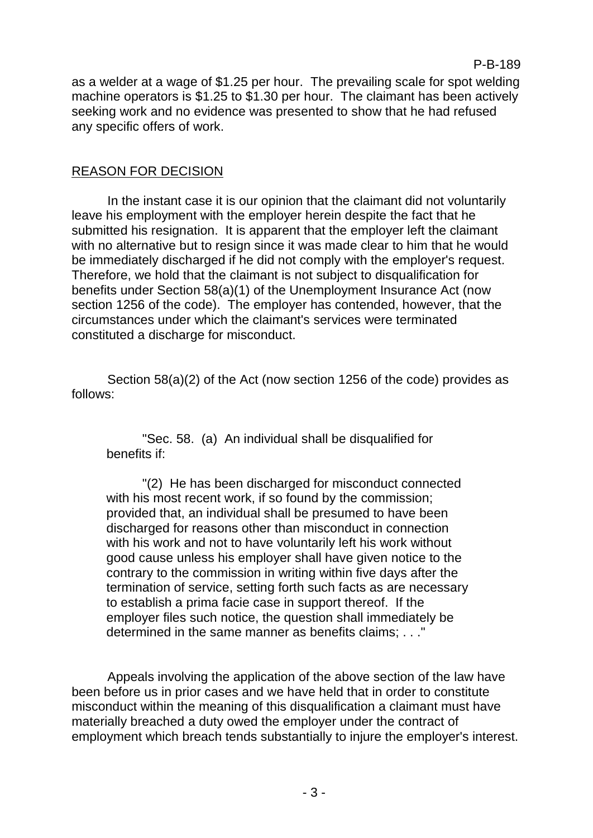#### P-B-189

as a welder at a wage of \$1.25 per hour. The prevailing scale for spot welding machine operators is \$1.25 to \$1.30 per hour. The claimant has been actively seeking work and no evidence was presented to show that he had refused any specific offers of work.

### REASON FOR DECISION

In the instant case it is our opinion that the claimant did not voluntarily leave his employment with the employer herein despite the fact that he submitted his resignation. It is apparent that the employer left the claimant with no alternative but to resign since it was made clear to him that he would be immediately discharged if he did not comply with the employer's request. Therefore, we hold that the claimant is not subject to disqualification for benefits under Section 58(a)(1) of the Unemployment Insurance Act (now section 1256 of the code). The employer has contended, however, that the circumstances under which the claimant's services were terminated constituted a discharge for misconduct.

Section 58(a)(2) of the Act (now section 1256 of the code) provides as follows:

"Sec. 58. (a) An individual shall be disqualified for benefits if:

"(2) He has been discharged for misconduct connected with his most recent work, if so found by the commission; provided that, an individual shall be presumed to have been discharged for reasons other than misconduct in connection with his work and not to have voluntarily left his work without good cause unless his employer shall have given notice to the contrary to the commission in writing within five days after the termination of service, setting forth such facts as are necessary to establish a prima facie case in support thereof. If the employer files such notice, the question shall immediately be determined in the same manner as benefits claims; . . ."

Appeals involving the application of the above section of the law have been before us in prior cases and we have held that in order to constitute misconduct within the meaning of this disqualification a claimant must have materially breached a duty owed the employer under the contract of employment which breach tends substantially to injure the employer's interest.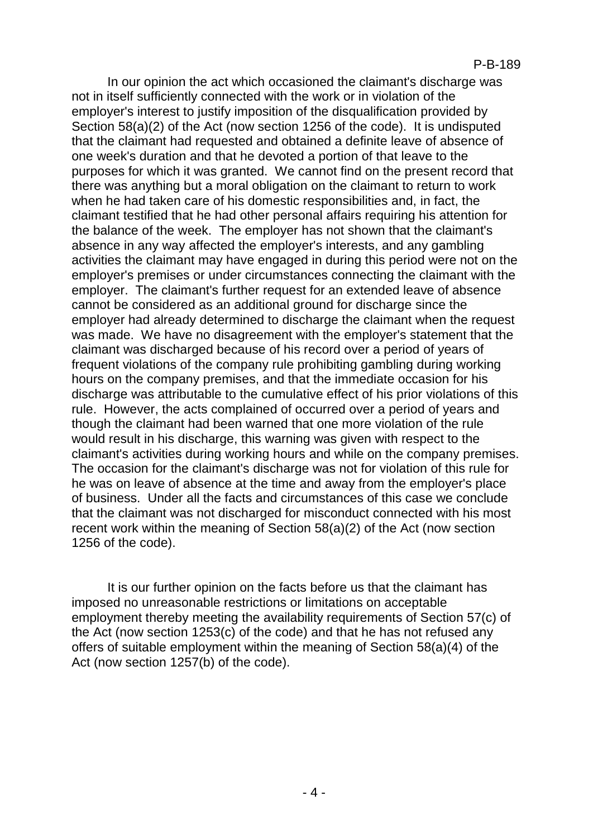In our opinion the act which occasioned the claimant's discharge was not in itself sufficiently connected with the work or in violation of the employer's interest to justify imposition of the disqualification provided by Section 58(a)(2) of the Act (now section 1256 of the code). It is undisputed that the claimant had requested and obtained a definite leave of absence of one week's duration and that he devoted a portion of that leave to the purposes for which it was granted. We cannot find on the present record that there was anything but a moral obligation on the claimant to return to work when he had taken care of his domestic responsibilities and, in fact, the claimant testified that he had other personal affairs requiring his attention for the balance of the week. The employer has not shown that the claimant's absence in any way affected the employer's interests, and any gambling activities the claimant may have engaged in during this period were not on the employer's premises or under circumstances connecting the claimant with the employer. The claimant's further request for an extended leave of absence cannot be considered as an additional ground for discharge since the employer had already determined to discharge the claimant when the request was made. We have no disagreement with the employer's statement that the claimant was discharged because of his record over a period of years of frequent violations of the company rule prohibiting gambling during working hours on the company premises, and that the immediate occasion for his discharge was attributable to the cumulative effect of his prior violations of this rule. However, the acts complained of occurred over a period of years and though the claimant had been warned that one more violation of the rule would result in his discharge, this warning was given with respect to the claimant's activities during working hours and while on the company premises. The occasion for the claimant's discharge was not for violation of this rule for he was on leave of absence at the time and away from the employer's place of business. Under all the facts and circumstances of this case we conclude that the claimant was not discharged for misconduct connected with his most recent work within the meaning of Section 58(a)(2) of the Act (now section 1256 of the code).

It is our further opinion on the facts before us that the claimant has imposed no unreasonable restrictions or limitations on acceptable employment thereby meeting the availability requirements of Section 57(c) of the Act (now section 1253(c) of the code) and that he has not refused any offers of suitable employment within the meaning of Section 58(a)(4) of the Act (now section 1257(b) of the code).